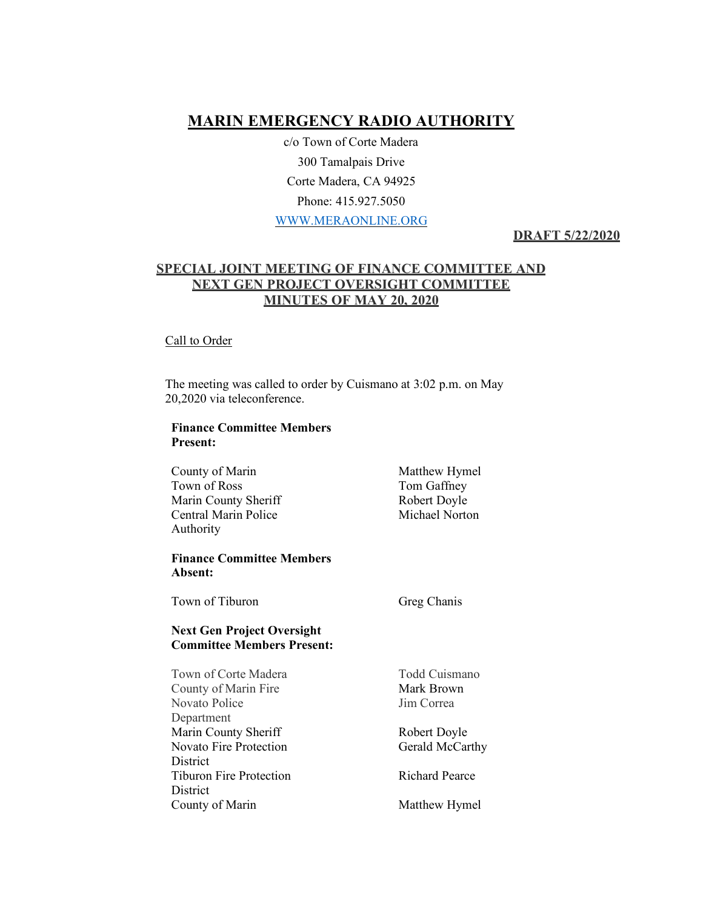# **MARIN EMERGENCY RADIO AUTHORITY**

c/o Town of Corte Madera 300 Tamalpais Drive Corte Madera, CA 94925 Phone: 415.927.5050 WWW.MERAONLINE.ORG

# **DRAFT 5/22/2020**

# **SPECIAL JOINT MEETING OF FINANCE COMMITTEE AND NEXT GEN PROJECT OVERSIGHT COMMITTEE MINUTES OF MAY 20, 2020**

#### Call to Order

The meeting was called to order by Cuismano at 3:02 p.m. on May 20,2020 via teleconference.

### **Finance Committee Members Present:**

| County of Marin<br>Town of Ross<br>Marin County Sheriff<br><b>Central Marin Police</b><br>Authority | Matthew Hymel<br>Tom Gaffney<br>Robert Doyle<br>Michael Norton |
|-----------------------------------------------------------------------------------------------------|----------------------------------------------------------------|
| <b>Finance Committee Members</b><br>Absent:                                                         |                                                                |
| Town of Tiburon                                                                                     | Greg Chanis                                                    |
| <b>Next Gen Project Oversight</b><br><b>Committee Members Present:</b>                              |                                                                |
| Town of Corte Madera                                                                                | Todd Cuismano                                                  |
| County of Marin Fire                                                                                | Mark Brown                                                     |
| <b>Novato Police</b>                                                                                | Jim Correa                                                     |
| Department                                                                                          |                                                                |
| Marin County Sheriff                                                                                | Robert Doyle                                                   |
| <b>Novato Fire Protection</b>                                                                       | Gerald McCarthy                                                |
| District                                                                                            |                                                                |
| <b>Tiburon Fire Protection</b>                                                                      | <b>Richard Pearce</b>                                          |
| <b>District</b>                                                                                     |                                                                |
| County of Marin                                                                                     | Matthew Hymel                                                  |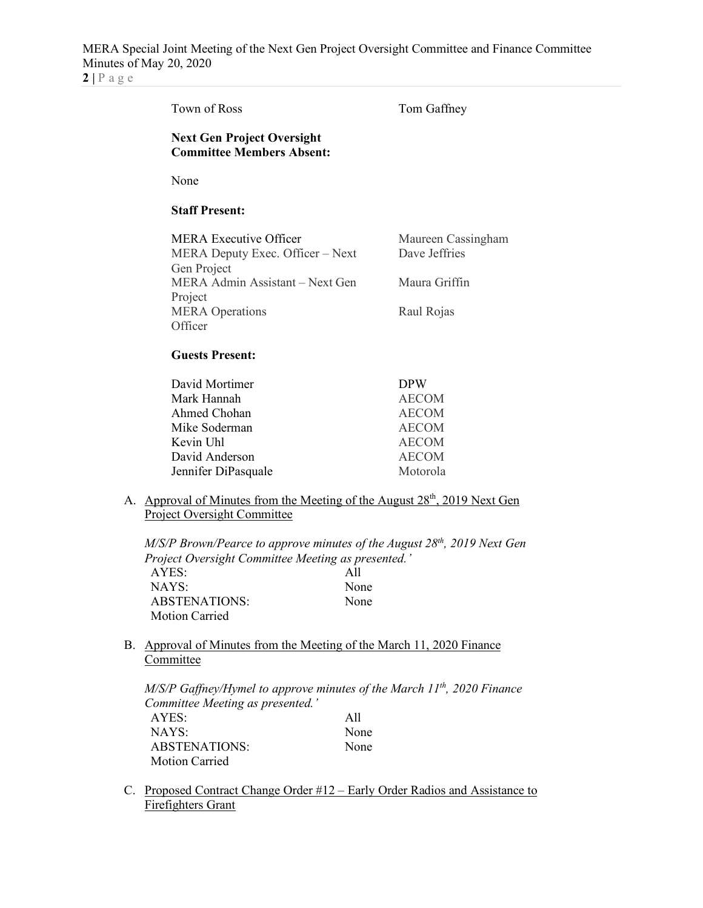**2 |** Page

|    | Town of Ross                                                                                                          | Tom Gaffney                                                                                            |
|----|-----------------------------------------------------------------------------------------------------------------------|--------------------------------------------------------------------------------------------------------|
|    | <b>Next Gen Project Oversight</b><br><b>Committee Members Absent:</b>                                                 |                                                                                                        |
|    | None                                                                                                                  |                                                                                                        |
|    | <b>Staff Present:</b>                                                                                                 |                                                                                                        |
|    | <b>MERA Executive Officer</b><br>MERA Deputy Exec. Officer - Next<br>Gen Project                                      | Maureen Cassingham<br>Dave Jeffries                                                                    |
|    | MERA Admin Assistant – Next Gen<br>Project                                                                            | Maura Griffin                                                                                          |
|    | <b>MERA</b> Operations<br>Officer                                                                                     | Raul Rojas                                                                                             |
|    | <b>Guests Present:</b>                                                                                                |                                                                                                        |
|    | David Mortimer<br>Mark Hannah<br>Ahmed Chohan<br>Mike Soderman<br>Kevin Uhl<br>David Anderson<br>Jennifer DiPasquale  | <b>DPW</b><br><b>AECOM</b><br><b>AECOM</b><br><b>AECOM</b><br><b>AECOM</b><br><b>AECOM</b><br>Motorola |
|    | <b>Project Oversight Committee</b>                                                                                    | A. Approval of Minutes from the Meeting of the August 28 <sup>th</sup> , 2019 Next Gen                 |
|    | Project Oversight Committee Meeting as presented.'<br>AYES:<br>NAYS:<br><b>ABSTENATIONS:</b><br><b>Motion Carried</b> | $M/S/P$ Brown/Pearce to approve minutes of the August $28th$ , 2019 Next Gen<br>All<br>None<br>None    |
| B. | Approval of Minutes from the Meeting of the March 11, 2020 Finance<br>Committee                                       |                                                                                                        |
|    | Committee Meeting as presented.'                                                                                      | $M/S/P$ Gaffney/Hymel to approve minutes of the March 11 <sup>th</sup> , 2020 Finance                  |

| AYES:                 | All  |
|-----------------------|------|
| NAYS:                 | None |
| ABSTENATIONS:         | None |
| <b>Motion Carried</b> |      |

C. Proposed Contract Change Order #12 – Early Order Radios and Assistance to **Firefighters Grant**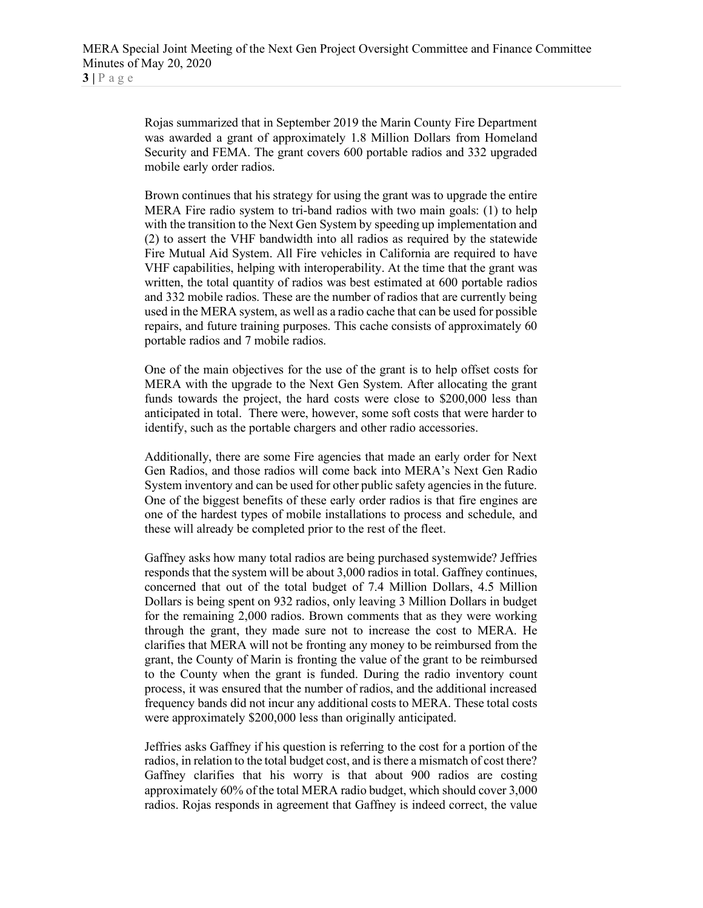Rojas summarized that in September 2019 the Marin County Fire Department was awarded a grant of approximately 1.8 Million Dollars from Homeland Security and FEMA. The grant covers 600 portable radios and 332 upgraded mobile early order radios.

Brown continues that his strategy for using the grant was to upgrade the entire MERA Fire radio system to tri-band radios with two main goals: (1) to help with the transition to the Next Gen System by speeding up implementation and (2) to assert the VHF bandwidth into all radios as required by the statewide Fire Mutual Aid System. All Fire vehicles in California are required to have VHF capabilities, helping with interoperability. At the time that the grant was written, the total quantity of radios was best estimated at 600 portable radios and 332 mobile radios. These are the number of radios that are currently being used in the MERA system, as well as a radio cache that can be used for possible repairs, and future training purposes. This cache consists of approximately 60 portable radios and 7 mobile radios.

One of the main objectives for the use of the grant is to help offset costs for MERA with the upgrade to the Next Gen System. After allocating the grant funds towards the project, the hard costs were close to \$200,000 less than anticipated in total. There were, however, some soft costs that were harder to identify, such as the portable chargers and other radio accessories.

Additionally, there are some Fire agencies that made an early order for Next Gen Radios, and those radios will come back into MERA's Next Gen Radio System inventory and can be used for other public safety agencies in the future. One of the biggest benefits of these early order radios is that fire engines are one of the hardest types of mobile installations to process and schedule, and these will already be completed prior to the rest of the fleet.

Gaffney asks how many total radios are being purchased systemwide? Jeffries responds that the system will be about 3,000 radios in total. Gaffney continues, concerned that out of the total budget of 7.4 Million Dollars, 4.5 Million Dollars is being spent on 932 radios, only leaving 3 Million Dollars in budget for the remaining 2,000 radios. Brown comments that as they were working through the grant, they made sure not to increase the cost to MERA. He clarifies that MERA will not be fronting any money to be reimbursed from the grant, the County of Marin is fronting the value of the grant to be reimbursed to the County when the grant is funded. During the radio inventory count process, it was ensured that the number of radios, and the additional increased frequency bands did not incur any additional costs to MERA. These total costs were approximately \$200,000 less than originally anticipated.

Jeffries asks Gaffney if his question is referring to the cost for a portion of the radios, in relation to the total budget cost, and is there a mismatch of cost there? Gaffney clarifies that his worry is that about 900 radios are costing approximately 60% of the total MERA radio budget, which should cover 3,000 radios. Rojas responds in agreement that Gaffney is indeed correct, the value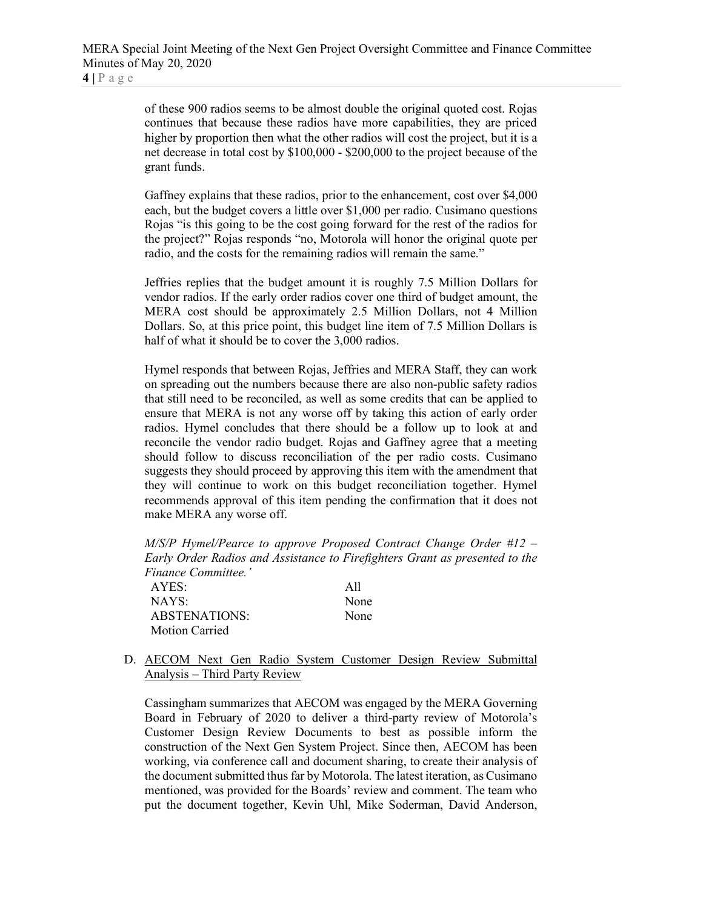of these 900 radios seems to be almost double the original quoted cost. Rojas continues that because these radios have more capabilities, they are priced higher by proportion then what the other radios will cost the project, but it is a net decrease in total cost by \$100,000 - \$200,000 to the project because of the grant funds.

Gaffney explains that these radios, prior to the enhancement, cost over \$4,000 each, but the budget covers a little over \$1,000 per radio. Cusimano questions Rojas "is this going to be the cost going forward for the rest of the radios for the project?" Rojas responds "no, Motorola will honor the original quote per radio, and the costs for the remaining radios will remain the same."

Jeffries replies that the budget amount it is roughly 7.5 Million Dollars for vendor radios. If the early order radios cover one third of budget amount, the MERA cost should be approximately 2.5 Million Dollars, not 4 Million Dollars. So, at this price point, this budget line item of 7.5 Million Dollars is half of what it should be to cover the 3,000 radios.

Hymel responds that between Rojas, Jeffries and MERA Staff, they can work on spreading out the numbers because there are also non-public safety radios that still need to be reconciled, as well as some credits that can be applied to ensure that MERA is not any worse off by taking this action of early order radios. Hymel concludes that there should be a follow up to look at and reconcile the vendor radio budget. Rojas and Gaffney agree that a meeting should follow to discuss reconciliation of the per radio costs. Cusimano suggests they should proceed by approving this item with the amendment that they will continue to work on this budget reconciliation together. Hymel recommends approval of this item pending the confirmation that it does not make MERA any worse off.

*M/S/P Hymel/Pearce to approve Proposed Contract Change Order #12 – Early Order Radios and Assistance to Firefighters Grant as presented to the Finance Committee.'*

AYES: All NAYS: None ABSTENATIONS: None Motion Carried

## D. AECOM Next Gen Radio System Customer Design Review Submittal Analysis – Third Party Review

Cassingham summarizes that AECOM was engaged by the MERA Governing Board in February of 2020 to deliver a third-party review of Motorola's Customer Design Review Documents to best as possible inform the construction of the Next Gen System Project. Since then, AECOM has been working, via conference call and document sharing, to create their analysis of the document submitted thus far by Motorola. The latest iteration, as Cusimano mentioned, was provided for the Boards' review and comment. The team who put the document together, Kevin Uhl, Mike Soderman, David Anderson,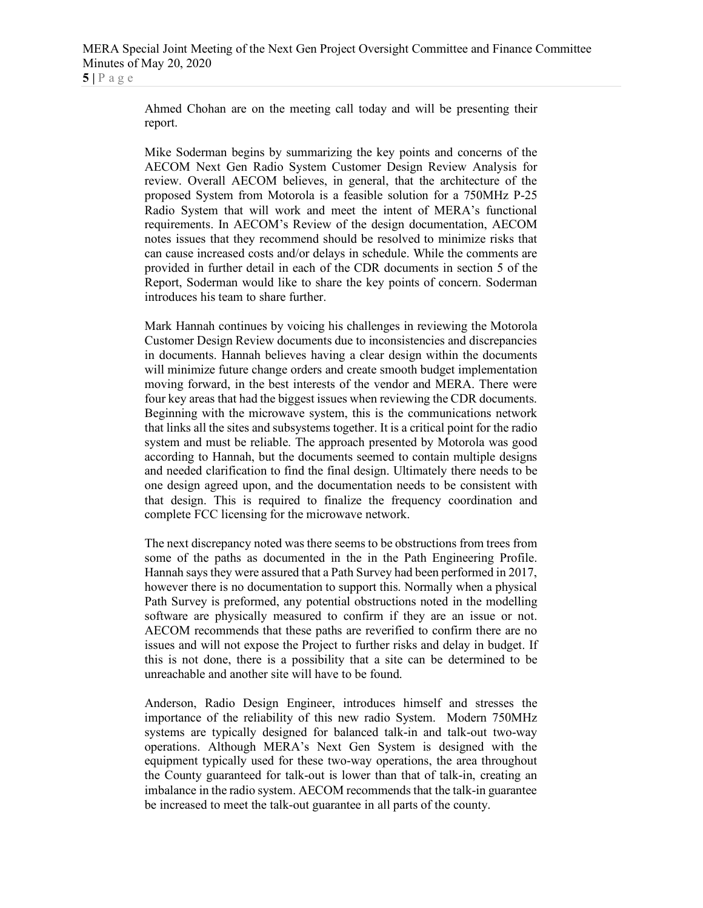Ahmed Chohan are on the meeting call today and will be presenting their report.

Mike Soderman begins by summarizing the key points and concerns of the AECOM Next Gen Radio System Customer Design Review Analysis for review. Overall AECOM believes, in general, that the architecture of the proposed System from Motorola is a feasible solution for a 750MHz P-25 Radio System that will work and meet the intent of MERA's functional requirements. In AECOM's Review of the design documentation, AECOM notes issues that they recommend should be resolved to minimize risks that can cause increased costs and/or delays in schedule. While the comments are provided in further detail in each of the CDR documents in section 5 of the Report, Soderman would like to share the key points of concern. Soderman introduces his team to share further.

Mark Hannah continues by voicing his challenges in reviewing the Motorola Customer Design Review documents due to inconsistencies and discrepancies in documents. Hannah believes having a clear design within the documents will minimize future change orders and create smooth budget implementation moving forward, in the best interests of the vendor and MERA. There were four key areas that had the biggest issues when reviewing the CDR documents. Beginning with the microwave system, this is the communications network that links all the sites and subsystems together. It is a critical point for the radio system and must be reliable. The approach presented by Motorola was good according to Hannah, but the documents seemed to contain multiple designs and needed clarification to find the final design. Ultimately there needs to be one design agreed upon, and the documentation needs to be consistent with that design. This is required to finalize the frequency coordination and complete FCC licensing for the microwave network.

The next discrepancy noted was there seems to be obstructions from trees from some of the paths as documented in the in the Path Engineering Profile. Hannah says they were assured that a Path Survey had been performed in 2017, however there is no documentation to support this. Normally when a physical Path Survey is preformed, any potential obstructions noted in the modelling software are physically measured to confirm if they are an issue or not. AECOM recommends that these paths are reverified to confirm there are no issues and will not expose the Project to further risks and delay in budget. If this is not done, there is a possibility that a site can be determined to be unreachable and another site will have to be found.

Anderson, Radio Design Engineer, introduces himself and stresses the importance of the reliability of this new radio System. Modern 750MHz systems are typically designed for balanced talk-in and talk-out two-way operations. Although MERA's Next Gen System is designed with the equipment typically used for these two-way operations, the area throughout the County guaranteed for talk-out is lower than that of talk-in, creating an imbalance in the radio system. AECOM recommends that the talk-in guarantee be increased to meet the talk-out guarantee in all parts of the county.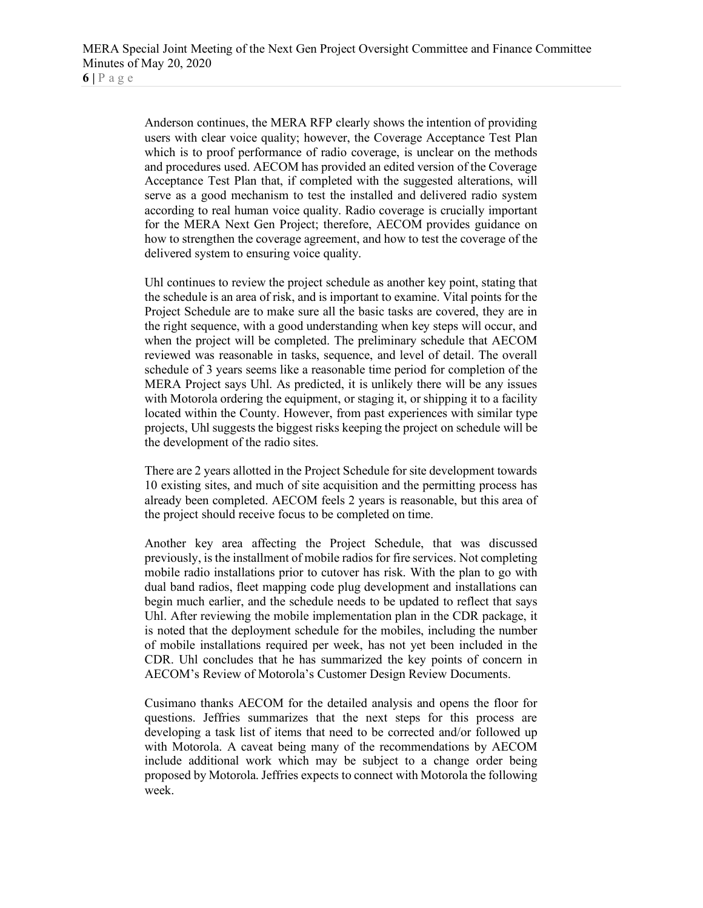Anderson continues, the MERA RFP clearly shows the intention of providing users with clear voice quality; however, the Coverage Acceptance Test Plan which is to proof performance of radio coverage, is unclear on the methods and procedures used. AECOM has provided an edited version of the Coverage Acceptance Test Plan that, if completed with the suggested alterations, will serve as a good mechanism to test the installed and delivered radio system according to real human voice quality. Radio coverage is crucially important for the MERA Next Gen Project; therefore, AECOM provides guidance on how to strengthen the coverage agreement, and how to test the coverage of the delivered system to ensuring voice quality.

Uhl continues to review the project schedule as another key point, stating that the schedule is an area of risk, and is important to examine. Vital points for the Project Schedule are to make sure all the basic tasks are covered, they are in the right sequence, with a good understanding when key steps will occur, and when the project will be completed. The preliminary schedule that AECOM reviewed was reasonable in tasks, sequence, and level of detail. The overall schedule of 3 years seems like a reasonable time period for completion of the MERA Project says Uhl. As predicted, it is unlikely there will be any issues with Motorola ordering the equipment, or staging it, or shipping it to a facility located within the County. However, from past experiences with similar type projects, Uhl suggests the biggest risks keeping the project on schedule will be the development of the radio sites.

There are 2 years allotted in the Project Schedule for site development towards 10 existing sites, and much of site acquisition and the permitting process has already been completed. AECOM feels 2 years is reasonable, but this area of the project should receive focus to be completed on time.

Another key area affecting the Project Schedule, that was discussed previously, is the installment of mobile radios for fire services. Not completing mobile radio installations prior to cutover has risk. With the plan to go with dual band radios, fleet mapping code plug development and installations can begin much earlier, and the schedule needs to be updated to reflect that says Uhl. After reviewing the mobile implementation plan in the CDR package, it is noted that the deployment schedule for the mobiles, including the number of mobile installations required per week, has not yet been included in the CDR. Uhl concludes that he has summarized the key points of concern in AECOM's Review of Motorola's Customer Design Review Documents.

Cusimano thanks AECOM for the detailed analysis and opens the floor for questions. Jeffries summarizes that the next steps for this process are developing a task list of items that need to be corrected and/or followed up with Motorola. A caveat being many of the recommendations by AECOM include additional work which may be subject to a change order being proposed by Motorola. Jeffries expects to connect with Motorola the following week.